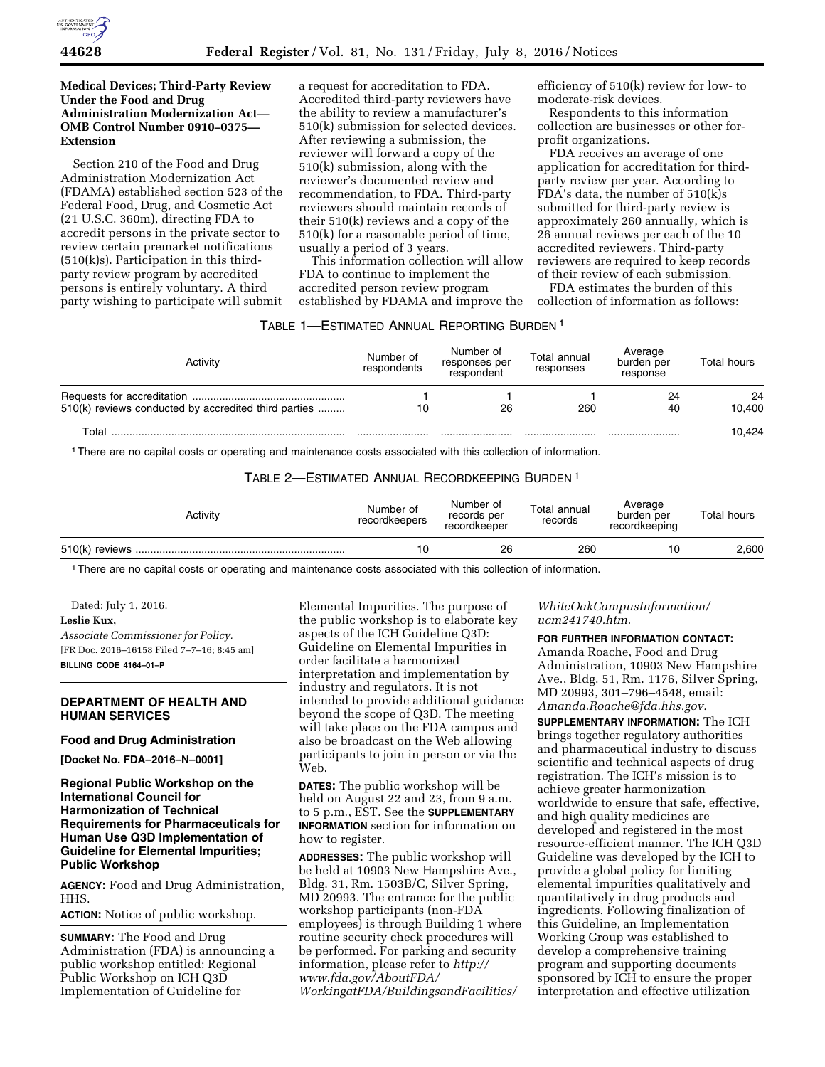

# **Medical Devices; Third-Party Review Under the Food and Drug Administration Modernization Act— OMB Control Number 0910–0375— Extension**

Section 210 of the Food and Drug Administration Modernization Act (FDAMA) established section 523 of the Federal Food, Drug, and Cosmetic Act (21 U.S.C. 360m), directing FDA to accredit persons in the private sector to review certain premarket notifications (510(k)s). Participation in this thirdparty review program by accredited persons is entirely voluntary. A third party wishing to participate will submit

a request for accreditation to FDA. Accredited third-party reviewers have the ability to review a manufacturer's 510(k) submission for selected devices. After reviewing a submission, the reviewer will forward a copy of the 510(k) submission, along with the reviewer's documented review and recommendation, to FDA. Third-party reviewers should maintain records of their 510(k) reviews and a copy of the 510(k) for a reasonable period of time, usually a period of 3 years.

This information collection will allow FDA to continue to implement the accredited person review program established by FDAMA and improve the efficiency of 510(k) review for low- to moderate-risk devices.

Respondents to this information collection are businesses or other forprofit organizations.

FDA receives an average of one application for accreditation for thirdparty review per year. According to FDA's data, the number of 510(k)s submitted for third-party review is approximately 260 annually, which is 26 annual reviews per each of the 10 accredited reviewers. Third-party reviewers are required to keep records of their review of each submission.

FDA estimates the burden of this

collection of information as follows:

| TABLE 1—ESTIMATED ANNUAL REPORTING BURDEN 1 |  |
|---------------------------------------------|--|
|---------------------------------------------|--|

| Activity                                             | Number of<br>respondents | Number of<br>responses per<br>respondent | Total annual<br>responses | Average<br>burden per<br>response | Total hours  |
|------------------------------------------------------|--------------------------|------------------------------------------|---------------------------|-----------------------------------|--------------|
| 510(k) reviews conducted by accredited third parties | 10                       | 26                                       | 260                       | 24<br>40                          | 24<br>10.400 |
| Total                                                |                          |                                          |                           |                                   | 10.424       |

1There are no capital costs or operating and maintenance costs associated with this collection of information.

TABLE 2—ESTIMATED ANNUAL RECORDKEEPING BURDEN 1

| Activity | Number of<br>recordkeepers | Number of<br>records per<br>recordkeeper | Total annual<br>records | Average<br>burden per<br>recordkeeping | <b>Total hours</b> |
|----------|----------------------------|------------------------------------------|-------------------------|----------------------------------------|--------------------|
|          | 10                         | 26                                       | 260                     | 10                                     | 2,600              |

1There are no capital costs or operating and maintenance costs associated with this collection of information.

Dated: July 1, 2016. **Leslie Kux,**  *Associate Commissioner for Policy.*  [FR Doc. 2016–16158 Filed 7–7–16; 8:45 am]

**BILLING CODE 4164–01–P** 

# **DEPARTMENT OF HEALTH AND HUMAN SERVICES**

### **Food and Drug Administration**

**[Docket No. FDA–2016–N–0001]** 

# **Regional Public Workshop on the International Council for Harmonization of Technical Requirements for Pharmaceuticals for Human Use Q3D Implementation of Guideline for Elemental Impurities; Public Workshop**

**AGENCY:** Food and Drug Administration, HHS.

**ACTION:** Notice of public workshop.

**SUMMARY:** The Food and Drug Administration (FDA) is announcing a public workshop entitled: Regional Public Workshop on ICH Q3D Implementation of Guideline for

Elemental Impurities. The purpose of the public workshop is to elaborate key aspects of the ICH Guideline Q3D: Guideline on Elemental Impurities in order facilitate a harmonized interpretation and implementation by industry and regulators. It is not intended to provide additional guidance beyond the scope of Q3D. The meeting will take place on the FDA campus and also be broadcast on the Web allowing participants to join in person or via the Web.

**DATES:** The public workshop will be held on August 22 and 23, from 9 a.m. to 5 p.m., EST. See the **SUPPLEMENTARY INFORMATION** section for information on how to register.

**ADDRESSES:** The public workshop will be held at 10903 New Hampshire Ave., Bldg. 31, Rm. 1503B/C, Silver Spring, MD 20993. The entrance for the public workshop participants (non-FDA employees) is through Building 1 where routine security check procedures will be performed. For parking and security information, please refer to *[http://](http://www.fda.gov/AboutFDA/WorkingatFDA/BuildingsandFacilities/WhiteOakCampusInformation/ucm241740.htm) [www.fda.gov/AboutFDA/](http://www.fda.gov/AboutFDA/WorkingatFDA/BuildingsandFacilities/WhiteOakCampusInformation/ucm241740.htm) [WorkingatFDA/BuildingsandFacilities/](http://www.fda.gov/AboutFDA/WorkingatFDA/BuildingsandFacilities/WhiteOakCampusInformation/ucm241740.htm)*

*[WhiteOakCampusInformation/](http://www.fda.gov/AboutFDA/WorkingatFDA/BuildingsandFacilities/WhiteOakCampusInformation/ucm241740.htm) [ucm241740.htm.](http://www.fda.gov/AboutFDA/WorkingatFDA/BuildingsandFacilities/WhiteOakCampusInformation/ucm241740.htm)* 

**FOR FURTHER INFORMATION CONTACT:** 

Amanda Roache, Food and Drug Administration, 10903 New Hampshire Ave., Bldg. 51, Rm. 1176, Silver Spring, MD 20993, 301–796–4548, email: *[Amanda.Roache@fda.hhs.gov.](mailto:Amanda.Roache@fda.hhs.gov)* 

**SUPPLEMENTARY INFORMATION:** The ICH brings together regulatory authorities and pharmaceutical industry to discuss scientific and technical aspects of drug registration. The ICH's mission is to achieve greater harmonization worldwide to ensure that safe, effective, and high quality medicines are developed and registered in the most resource-efficient manner. The ICH Q3D Guideline was developed by the ICH to provide a global policy for limiting elemental impurities qualitatively and quantitatively in drug products and ingredients. Following finalization of this Guideline, an Implementation Working Group was established to develop a comprehensive training program and supporting documents sponsored by ICH to ensure the proper interpretation and effective utilization